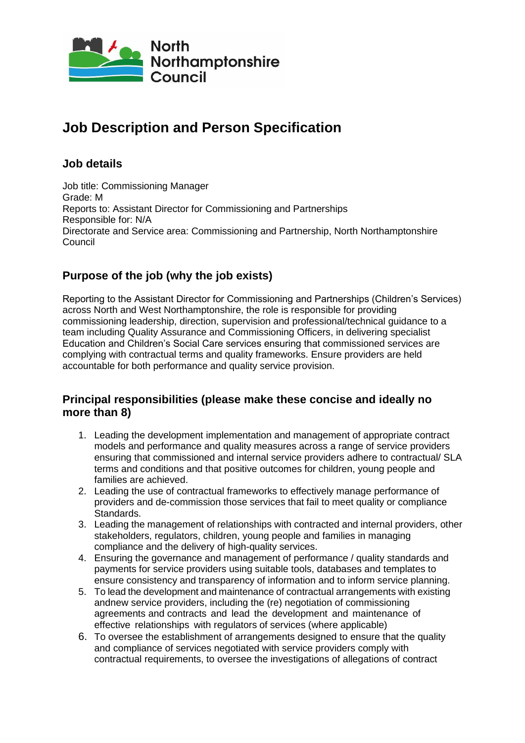

## **Job Description and Person Specification**

## **Job details**

Job title: Commissioning Manager Grade: M Reports to: Assistant Director for Commissioning and Partnerships Responsible for: N/A Directorate and Service area: Commissioning and Partnership, North Northamptonshire Council

## **Purpose of the job (why the job exists)**

Reporting to the Assistant Director for Commissioning and Partnerships (Children's Services) across North and West Northamptonshire, the role is responsible for providing commissioning leadership, direction, supervision and professional/technical guidance to a team including Quality Assurance and Commissioning Officers, in delivering specialist Education and Children's Social Care services ensuring that commissioned services are complying with contractual terms and quality frameworks. Ensure providers are held accountable for both performance and quality service provision.

### **Principal responsibilities (please make these concise and ideally no more than 8)**

- 1. Leading the development implementation and management of appropriate contract models and performance and quality measures across a range of service providers ensuring that commissioned and internal service providers adhere to contractual/ SLA terms and conditions and that positive outcomes for children, young people and families are achieved.
- 2. Leading the use of contractual frameworks to effectively manage performance of providers and de-commission those services that fail to meet quality or compliance Standards.
- 3. Leading the management of relationships with contracted and internal providers, other stakeholders, regulators, children, young people and families in managing compliance and the delivery of high-quality services.
- 4. Ensuring the governance and management of performance / quality standards and payments for service providers using suitable tools, databases and templates to ensure consistency and transparency of information and to inform service planning.
- 5. To lead the development and maintenance of contractual arrangements with existing andnew service providers, including the (re) negotiation of commissioning agreements and contracts and lead the development and maintenance of effective relationships with regulators of services (where applicable)
- 6. To oversee the establishment of arrangements designed to ensure that the quality and compliance of services negotiated with service providers comply with contractual requirements, to oversee the investigations of allegations of contract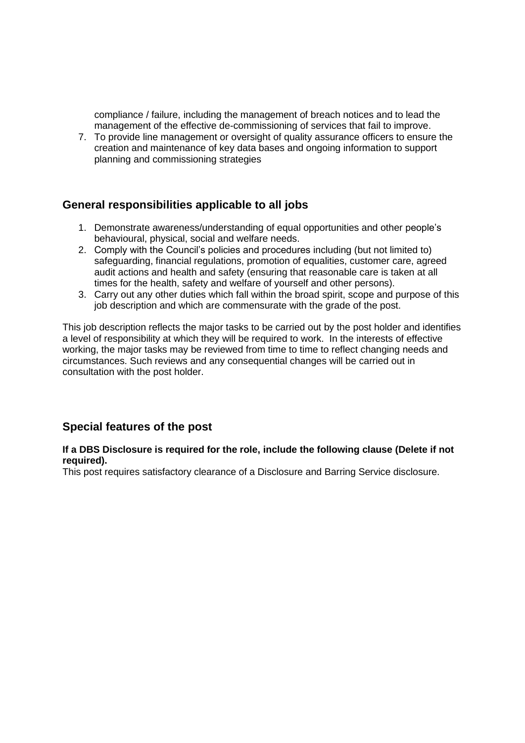compliance / failure, including the management of breach notices and to lead the management of the effective de-commissioning of services that fail to improve.

7. To provide line management or oversight of quality assurance officers to ensure the creation and maintenance of key data bases and ongoing information to support planning and commissioning strategies

#### **General responsibilities applicable to all jobs**

- 1. Demonstrate awareness/understanding of equal opportunities and other people's behavioural, physical, social and welfare needs.
- 2. Comply with the Council's policies and procedures including (but not limited to) safeguarding, financial regulations, promotion of equalities, customer care, agreed audit actions and health and safety (ensuring that reasonable care is taken at all times for the health, safety and welfare of yourself and other persons).
- 3. Carry out any other duties which fall within the broad spirit, scope and purpose of this job description and which are commensurate with the grade of the post.

This job description reflects the major tasks to be carried out by the post holder and identifies a level of responsibility at which they will be required to work. In the interests of effective working, the major tasks may be reviewed from time to time to reflect changing needs and circumstances. Such reviews and any consequential changes will be carried out in consultation with the post holder.

#### **Special features of the post**

#### **If a DBS Disclosure is required for the role, include the following clause (Delete if not required).**

This post requires satisfactory clearance of a Disclosure and Barring Service disclosure.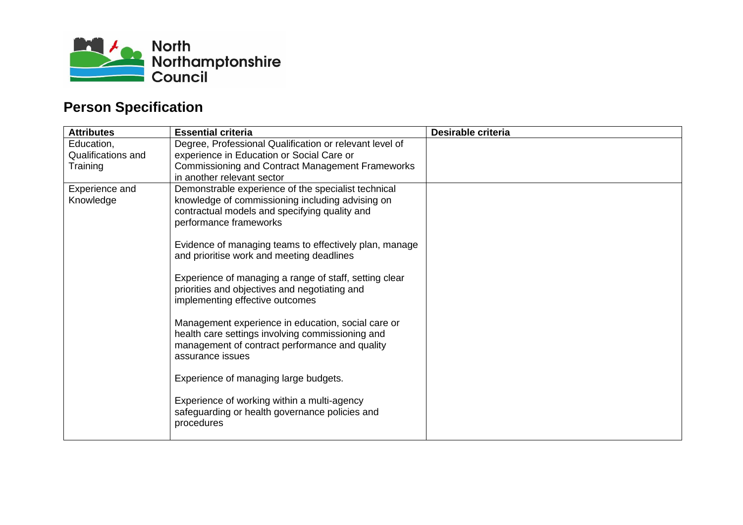

# **Person Specification**

| <b>Attributes</b>  | <b>Essential criteria</b>                                                                              | Desirable criteria |
|--------------------|--------------------------------------------------------------------------------------------------------|--------------------|
| Education,         | Degree, Professional Qualification or relevant level of                                                |                    |
| Qualifications and | experience in Education or Social Care or                                                              |                    |
| Training           | <b>Commissioning and Contract Management Frameworks</b>                                                |                    |
|                    | in another relevant sector                                                                             |                    |
| Experience and     | Demonstrable experience of the specialist technical                                                    |                    |
| Knowledge          | knowledge of commissioning including advising on                                                       |                    |
|                    | contractual models and specifying quality and                                                          |                    |
|                    | performance frameworks                                                                                 |                    |
|                    | Evidence of managing teams to effectively plan, manage                                                 |                    |
|                    | and prioritise work and meeting deadlines                                                              |                    |
|                    |                                                                                                        |                    |
|                    | Experience of managing a range of staff, setting clear                                                 |                    |
|                    | priorities and objectives and negotiating and                                                          |                    |
|                    | implementing effective outcomes                                                                        |                    |
|                    |                                                                                                        |                    |
|                    | Management experience in education, social care or<br>health care settings involving commissioning and |                    |
|                    | management of contract performance and quality                                                         |                    |
|                    | assurance issues                                                                                       |                    |
|                    |                                                                                                        |                    |
|                    | Experience of managing large budgets.                                                                  |                    |
|                    |                                                                                                        |                    |
|                    | Experience of working within a multi-agency                                                            |                    |
|                    | safeguarding or health governance policies and                                                         |                    |
|                    | procedures                                                                                             |                    |
|                    |                                                                                                        |                    |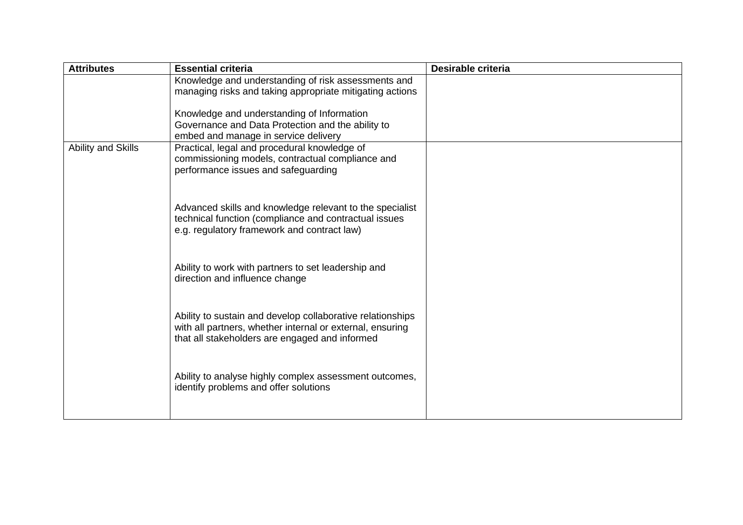| <b>Attributes</b>  | <b>Essential criteria</b>                                                                                   | Desirable criteria |
|--------------------|-------------------------------------------------------------------------------------------------------------|--------------------|
|                    | Knowledge and understanding of risk assessments and                                                         |                    |
|                    | managing risks and taking appropriate mitigating actions                                                    |                    |
|                    | Knowledge and understanding of Information                                                                  |                    |
|                    | Governance and Data Protection and the ability to<br>embed and manage in service delivery                   |                    |
| Ability and Skills | Practical, legal and procedural knowledge of                                                                |                    |
|                    | commissioning models, contractual compliance and                                                            |                    |
|                    | performance issues and safeguarding                                                                         |                    |
|                    |                                                                                                             |                    |
|                    | Advanced skills and knowledge relevant to the specialist                                                    |                    |
|                    | technical function (compliance and contractual issues<br>e.g. regulatory framework and contract law)        |                    |
|                    |                                                                                                             |                    |
|                    |                                                                                                             |                    |
|                    | Ability to work with partners to set leadership and<br>direction and influence change                       |                    |
|                    |                                                                                                             |                    |
|                    |                                                                                                             |                    |
|                    | Ability to sustain and develop collaborative relationships                                                  |                    |
|                    | with all partners, whether internal or external, ensuring<br>that all stakeholders are engaged and informed |                    |
|                    |                                                                                                             |                    |
|                    |                                                                                                             |                    |
|                    | Ability to analyse highly complex assessment outcomes,<br>identify problems and offer solutions             |                    |
|                    |                                                                                                             |                    |
|                    |                                                                                                             |                    |